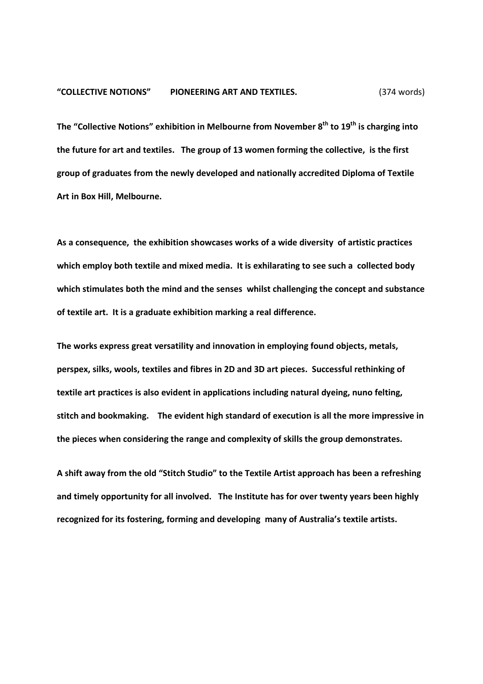The "Collective Notions" exhibition in Melbourne from November 8<sup>th</sup> to 19<sup>th</sup> is charging into the future for art and textiles. The group of 13 women forming the collective, is the first group of graduates from the newly developed and nationally accredited Diploma of Textile Art in Box Hill, Melbourne.

As a consequence, the exhibition showcases works of a wide diversity of artistic practices which employ both textile and mixed media. It is exhilarating to see such a collected body which stimulates both the mind and the senses whilst challenging the concept and substance of textile art. It is a graduate exhibition marking a real difference.

The works express great versatility and innovation in employing found objects, metals, perspex, silks, wools, textiles and fibres in 2D and 3D art pieces. Successful rethinking of textile art practices is also evident in applications including natural dyeing, nuno felting, stitch and bookmaking. The evident high standard of execution is all the more impressive in the pieces when considering the range and complexity of skills the group demonstrates.

A shift away from the old "Stitch Studio" to the Textile Artist approach has been a refreshing and timely opportunity for all involved. The Institute has for over twenty years been highly recognized for its fostering, forming and developing many of Australia's textile artists.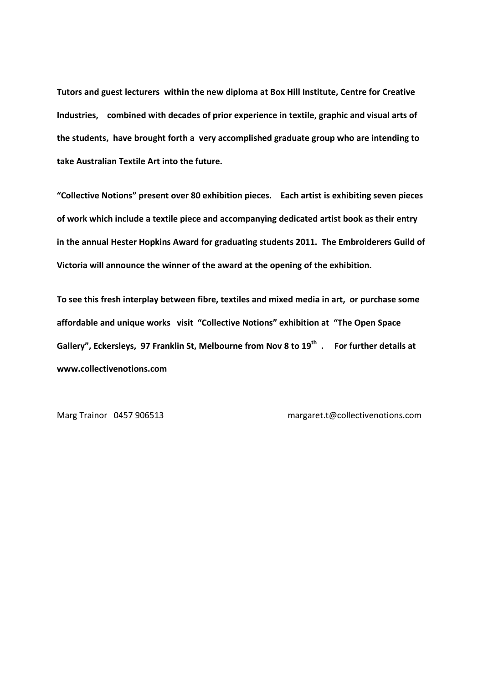Tutors and guest lecturers within the new diploma at Box Hill Institute, Centre for Creative Industries, combined with decades of prior experience in textile, graphic and visual arts of the students, have brought forth a very accomplished graduate group who are intending to take Australian Textile Art into the future.

"Collective Notions" present over 80 exhibition pieces. Each artist is exhibiting seven pieces of work which include a textile piece and accompanying dedicated artist book as their entry in the annual Hester Hopkins Award for graduating students 2011. The Embroiderers Guild of Victoria will announce the winner of the award at the opening of the exhibition.

To see this fresh interplay between fibre, textiles and mixed media in art, or purchase some affordable and unique works visit "Collective Notions" exhibition at "The Open Space Gallery", Eckersleys, 97 Franklin St, Melbourne from Nov 8 to 19<sup>th</sup>. For further details at www.collectivenotions.com

Marg Trainor 0457 906513 margaret.t@collectivenotions.com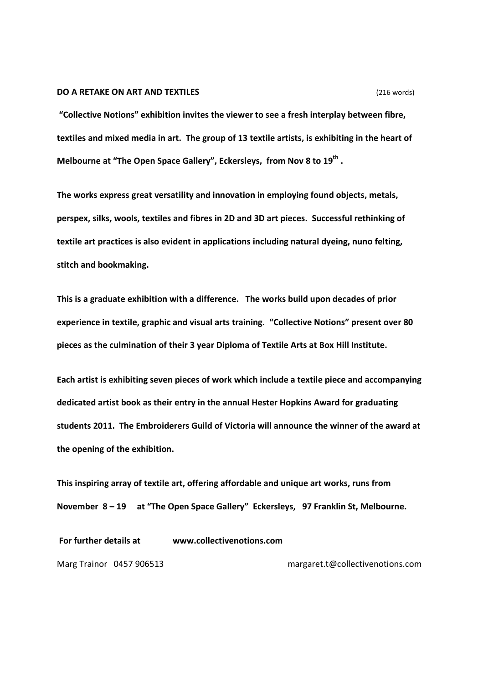## **DO A RETAKE ON ART AND TEXTILES** (216 words)

 "Collective Notions" exhibition invites the viewer to see a fresh interplay between fibre, textiles and mixed media in art. The group of 13 textile artists, is exhibiting in the heart of Melbourne at "The Open Space Gallery", Eckersleys, from Nov 8 to 19<sup>th</sup>.

The works express great versatility and innovation in employing found objects, metals, perspex, silks, wools, textiles and fibres in 2D and 3D art pieces. Successful rethinking of textile art practices is also evident in applications including natural dyeing, nuno felting, stitch and bookmaking.

This is a graduate exhibition with a difference. The works build upon decades of prior experience in textile, graphic and visual arts training. "Collective Notions" present over 80 pieces as the culmination of their 3 year Diploma of Textile Arts at Box Hill Institute.

Each artist is exhibiting seven pieces of work which include a textile piece and accompanying dedicated artist book as their entry in the annual Hester Hopkins Award for graduating students 2011. The Embroiderers Guild of Victoria will announce the winner of the award at the opening of the exhibition.

This inspiring array of textile art, offering affordable and unique art works, runs from November 8 – 19 at "The Open Space Gallery" Eckersleys, 97 Franklin St, Melbourne.

For further details at www.collectivenotions.com

Marg Trainor 0457 906513 margaret.t@collectivenotions.com